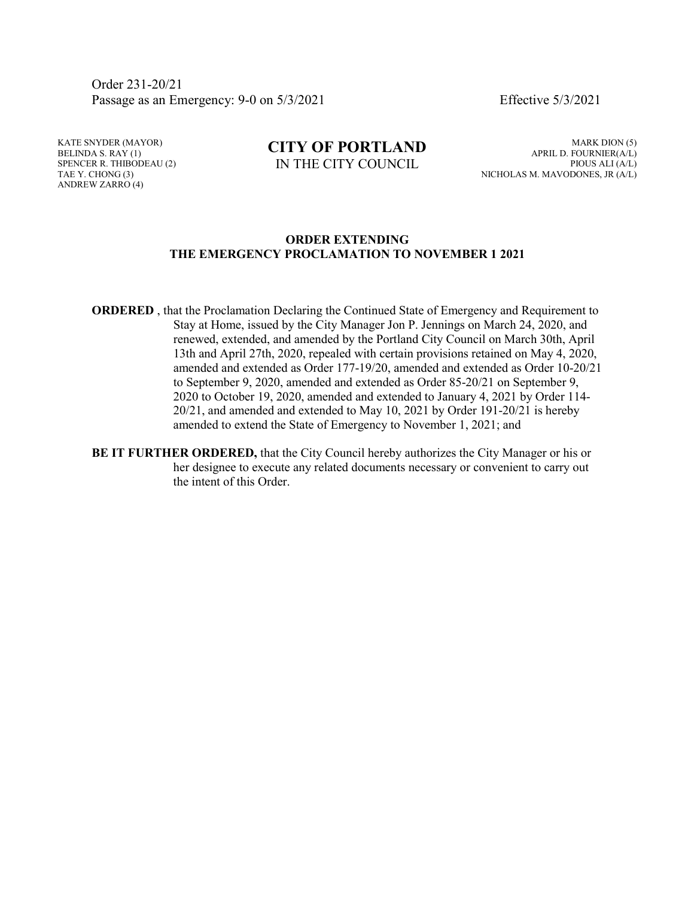Order 231-20/21 Passage as an Emergency: 9-0 on 5/3/2021 Effective 5/3/2021

KATE SNYDER (MAYOR) BELINDA S. RAY (1) SPENCER R. THIBODEAU (2) TAE Y. CHONG (3) ANDREW ZARRO (4)

## **CITY OF PORTLAND** IN THE CITY COUNCIL

MARK DION (5) APRIL D. FOURNIER(A/L) PIOUS ALI (A/L) NICHOLAS M. MAVODONES, JR (A/L)

## **ORDER EXTENDING THE EMERGENCY PROCLAMATION TO NOVEMBER 1 2021**

- **ORDERED**, that the Proclamation Declaring the Continued State of Emergency and Requirement to Stay at Home, issued by the City Manager Jon P. Jennings on March 24, 2020, and renewed, extended, and amended by the Portland City Council on March 30th, April 13th and April 27th, 2020, repealed with certain provisions retained on May 4, 2020, amended and extended as Order 177-19/20, amended and extended as Order 10-20/21 to September 9, 2020, amended and extended as Order 85-20/21 on September 9, 2020 to October 19, 2020, amended and extended to January 4, 2021 by Order 114- 20/21, and amended and extended to May 10, 2021 by Order 191-20/21 is hereby amended to extend the State of Emergency to November 1, 2021; and
- **BE IT FURTHER ORDERED,** that the City Council hereby authorizes the City Manager or his or her designee to execute any related documents necessary or convenient to carry out the intent of this Order.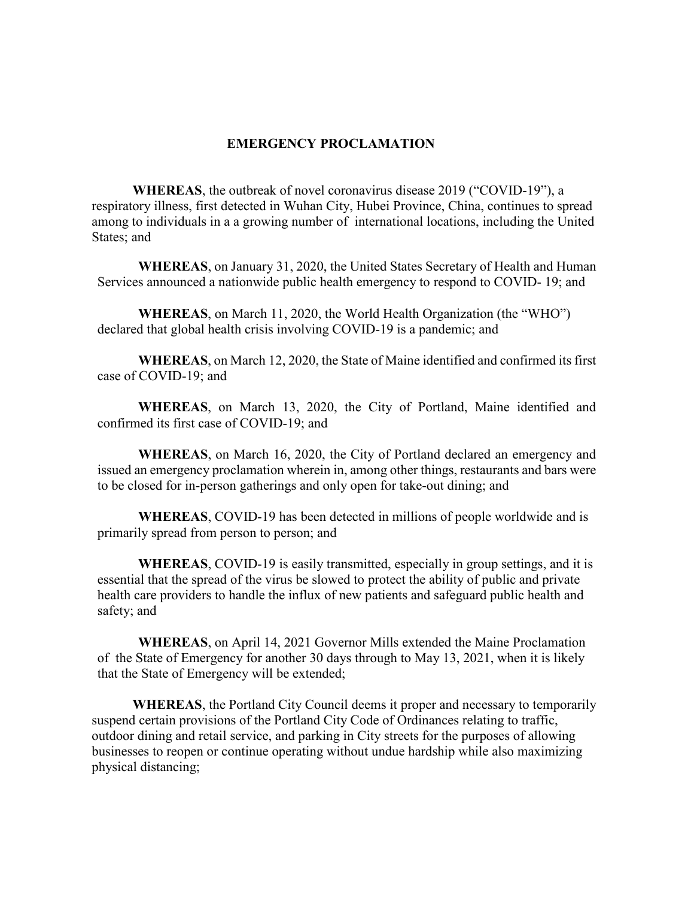## **EMERGENCY PROCLAMATION**

**WHEREAS**, the outbreak of novel coronavirus disease 2019 ("COVID-19"), a respiratory illness, first detected in Wuhan City, Hubei Province, China, continues to spread among to individuals in a a growing number of international locations, including the United States; and

**WHEREAS**, on January 31, 2020, the United States Secretary of Health and Human Services announced a nationwide public health emergency to respond to COVID- 19; and

**WHEREAS**, on March 11, 2020, the World Health Organization (the "WHO") declared that global health crisis involving COVID-19 is a pandemic; and

**WHEREAS**, on March 12, 2020, the State of Maine identified and confirmed its first case of COVID-19; and

**WHEREAS**, on March 13, 2020, the City of Portland, Maine identified and confirmed its first case of COVID-19; and

**WHEREAS**, on March 16, 2020, the City of Portland declared an emergency and issued an emergency proclamation wherein in, among other things, restaurants and bars were to be closed for in-person gatherings and only open for take-out dining; and

**WHEREAS**, COVID-19 has been detected in millions of people worldwide and is primarily spread from person to person; and

**WHEREAS**, COVID-19 is easily transmitted, especially in group settings, and it is essential that the spread of the virus be slowed to protect the ability of public and private health care providers to handle the influx of new patients and safeguard public health and safety; and

**WHEREAS**, on April 14, 2021 Governor Mills extended the Maine Proclamation of the State of Emergency for another 30 days through to May 13, 2021, when it is likely that the State of Emergency will be extended;

**WHEREAS**, the Portland City Council deems it proper and necessary to temporarily suspend certain provisions of the Portland City Code of Ordinances relating to traffic, outdoor dining and retail service, and parking in City streets for the purposes of allowing businesses to reopen or continue operating without undue hardship while also maximizing physical distancing;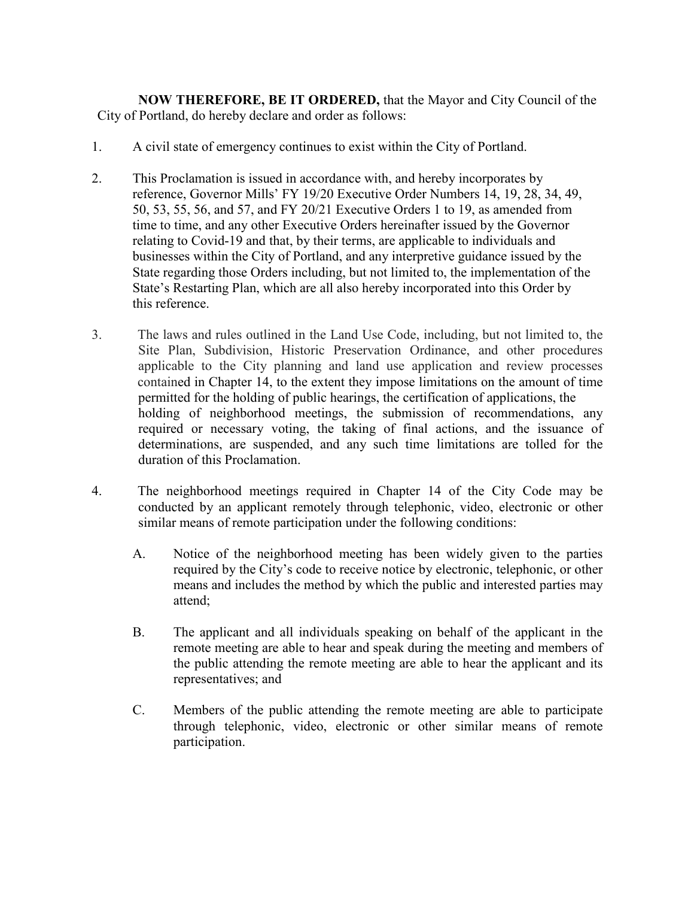**NOW THEREFORE, BE IT ORDERED,** that the Mayor and City Council of the City of Portland, do hereby declare and order as follows:

- 1. A civil state of emergency continues to exist within the City of Portland.
- 2. This Proclamation is issued in accordance with, and hereby incorporates by reference, Governor Mills' FY 19/20 Executive Order Numbers 14, 19, 28, 34, 49, 50, 53, 55, 56, and 57, and FY 20/21 Executive Orders 1 to 19, as amended from time to time, and any other Executive Orders hereinafter issued by the Governor relating to Covid-19 and that, by their terms, are applicable to individuals and businesses within the City of Portland, and any interpretive guidance issued by the State regarding those Orders including, but not limited to, the implementation of the State's Restarting Plan, which are all also hereby incorporated into this Order by this reference.
- 3. The laws and rules outlined in the Land Use Code, including, but not limited to, the Site Plan, Subdivision, Historic Preservation Ordinance, and other procedures applicable to the City planning and land use application and review processes contained in Chapter 14, to the extent they impose limitations on the amount of time permitted for the holding of public hearings, the certification of applications, the holding of neighborhood meetings, the submission of recommendations, any required or necessary voting, the taking of final actions, and the issuance of determinations, are suspended, and any such time limitations are tolled for the duration of this Proclamation.
- 4. The neighborhood meetings required in Chapter 14 of the City Code may be conducted by an applicant remotely through telephonic, video, electronic or other similar means of remote participation under the following conditions:
	- A. Notice of the neighborhood meeting has been widely given to the parties required by the City's code to receive notice by electronic, telephonic, or other means and includes the method by which the public and interested parties may attend;
	- B. The applicant and all individuals speaking on behalf of the applicant in the remote meeting are able to hear and speak during the meeting and members of the public attending the remote meeting are able to hear the applicant and its representatives; and
	- C. Members of the public attending the remote meeting are able to participate through telephonic, video, electronic or other similar means of remote participation.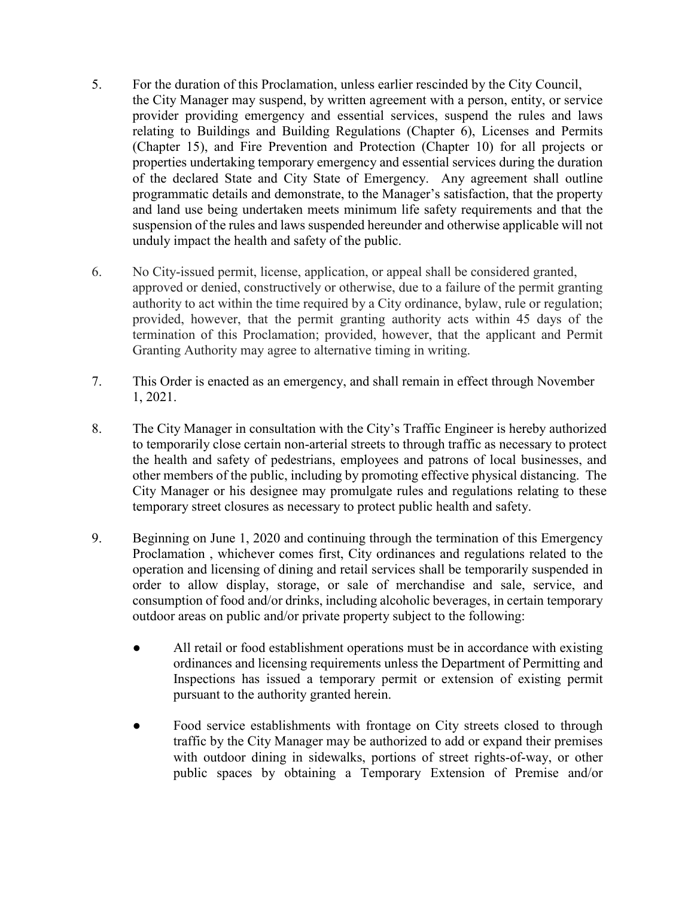- 5. For the duration of this Proclamation, unless earlier rescinded by the City Council, the City Manager may suspend, by written agreement with a person, entity, or service provider providing emergency and essential services, suspend the rules and laws relating to Buildings and Building Regulations (Chapter 6), Licenses and Permits (Chapter 15), and Fire Prevention and Protection (Chapter 10) for all projects or properties undertaking temporary emergency and essential services during the duration of the declared State and City State of Emergency. Any agreement shall outline programmatic details and demonstrate, to the Manager's satisfaction, that the property and land use being undertaken meets minimum life safety requirements and that the suspension of the rules and laws suspended hereunder and otherwise applicable will not unduly impact the health and safety of the public.
- 6. No City-issued permit, license, application, or appeal shall be considered granted, approved or denied, constructively or otherwise, due to a failure of the permit granting authority to act within the time required by a City ordinance, bylaw, rule or regulation; provided, however, that the permit granting authority acts within 45 days of the termination of this Proclamation; provided, however, that the applicant and Permit Granting Authority may agree to alternative timing in writing.
- 7. This Order is enacted as an emergency, and shall remain in effect through November 1, 2021.
- 8. The City Manager in consultation with the City's Traffic Engineer is hereby authorized to temporarily close certain non-arterial streets to through traffic as necessary to protect the health and safety of pedestrians, employees and patrons of local businesses, and other members of the public, including by promoting effective physical distancing. The City Manager or his designee may promulgate rules and regulations relating to these temporary street closures as necessary to protect public health and safety.
- 9. Beginning on June 1, 2020 and continuing through the termination of this Emergency Proclamation , whichever comes first, City ordinances and regulations related to the operation and licensing of dining and retail services shall be temporarily suspended in order to allow display, storage, or sale of merchandise and sale, service, and consumption of food and/or drinks, including alcoholic beverages, in certain temporary outdoor areas on public and/or private property subject to the following:
	- All retail or food establishment operations must be in accordance with existing ordinances and licensing requirements unless the Department of Permitting and Inspections has issued a temporary permit or extension of existing permit pursuant to the authority granted herein.
	- Food service establishments with frontage on City streets closed to through traffic by the City Manager may be authorized to add or expand their premises with outdoor dining in sidewalks, portions of street rights-of-way, or other public spaces by obtaining a Temporary Extension of Premise and/or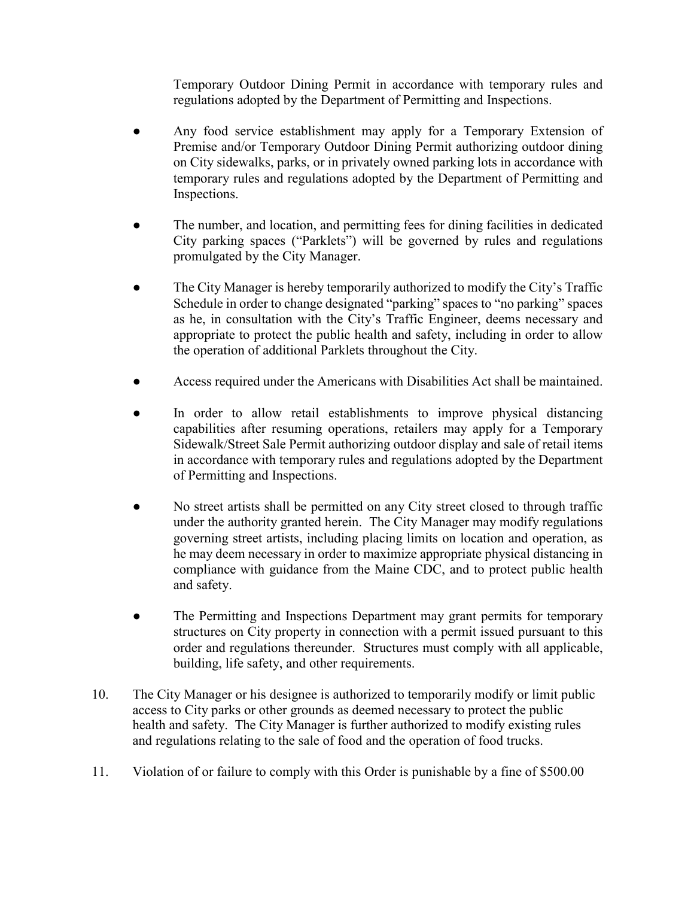Temporary Outdoor Dining Permit in accordance with temporary rules and regulations adopted by the Department of Permitting and Inspections.

- Any food service establishment may apply for a Temporary Extension of Premise and/or Temporary Outdoor Dining Permit authorizing outdoor dining on City sidewalks, parks, or in privately owned parking lots in accordance with temporary rules and regulations adopted by the Department of Permitting and Inspections.
- The number, and location, and permitting fees for dining facilities in dedicated City parking spaces ("Parklets") will be governed by rules and regulations promulgated by the City Manager.
- The City Manager is hereby temporarily authorized to modify the City's Traffic Schedule in order to change designated "parking" spaces to "no parking" spaces as he, in consultation with the City's Traffic Engineer, deems necessary and appropriate to protect the public health and safety, including in order to allow the operation of additional Parklets throughout the City.
- Access required under the Americans with Disabilities Act shall be maintained.
- In order to allow retail establishments to improve physical distancing capabilities after resuming operations, retailers may apply for a Temporary Sidewalk/Street Sale Permit authorizing outdoor display and sale of retail items in accordance with temporary rules and regulations adopted by the Department of Permitting and Inspections.
- No street artists shall be permitted on any City street closed to through traffic under the authority granted herein. The City Manager may modify regulations governing street artists, including placing limits on location and operation, as he may deem necessary in order to maximize appropriate physical distancing in compliance with guidance from the Maine CDC, and to protect public health and safety.
- The Permitting and Inspections Department may grant permits for temporary structures on City property in connection with a permit issued pursuant to this order and regulations thereunder. Structures must comply with all applicable, building, life safety, and other requirements.
- 10. The City Manager or his designee is authorized to temporarily modify or limit public access to City parks or other grounds as deemed necessary to protect the public health and safety. The City Manager is further authorized to modify existing rules and regulations relating to the sale of food and the operation of food trucks.
- 11. Violation of or failure to comply with this Order is punishable by a fine of \$500.00